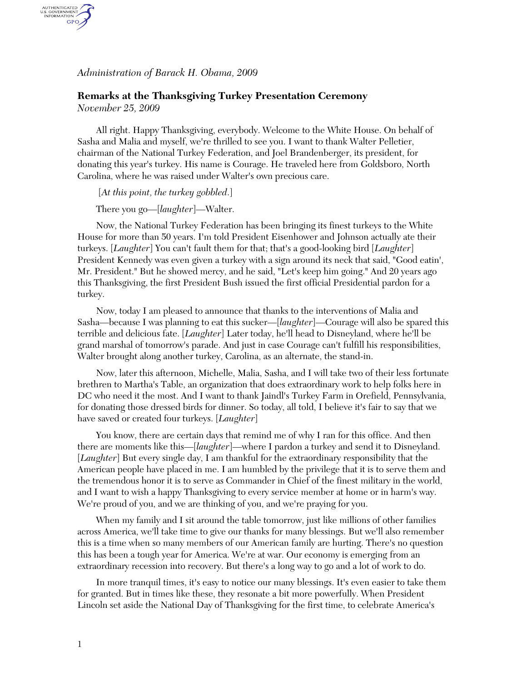*Administration of Barack H. Obama, 2009* 

AUTHENTICATED<br>U.S. GOVERNMENT<br>INFORMATION GPO.

## **Remarks at the Thanksgiving Turkey Presentation Ceremony**  *November 25, 2009*

All right. Happy Thanksgiving, everybody. Welcome to the White House. On behalf of Sasha and Malia and myself, we're thrilled to see you. I want to thank Walter Pelletier, chairman of the National Turkey Federation, and Joel Brandenberger, its president, for donating this year's turkey. His name is Courage. He traveled here from Goldsboro, North Carolina, where he was raised under Walter's own precious care.

[*At this point, the turkey gobbled*.]

There you go—[*laughter*]—Walter.

Now, the National Turkey Federation has been bringing its finest turkeys to the White House for more than 50 years. I'm told President Eisenhower and Johnson actually ate their turkeys. [*Laughter*] You can't fault them for that; that's a good-looking bird [*Laughter*] President Kennedy was even given a turkey with a sign around its neck that said, "Good eatin', Mr. President." But he showed mercy, and he said, "Let's keep him going." And 20 years ago this Thanksgiving, the first President Bush issued the first official Presidential pardon for a turkey.

Now, today I am pleased to announce that thanks to the interventions of Malia and Sasha—because I was planning to eat this sucker—[*laughter*]—Courage will also be spared this terrible and delicious fate. [*Laughter*] Later today, he'll head to Disneyland, where he'll be grand marshal of tomorrow's parade. And just in case Courage can't fulfill his responsibilities, Walter brought along another turkey, Carolina, as an alternate, the stand-in.

Now, later this afternoon, Michelle, Malia, Sasha, and I will take two of their less fortunate brethren to Martha's Table, an organization that does extraordinary work to help folks here in DC who need it the most. And I want to thank Jaindl's Turkey Farm in Orefield, Pennsylvania, for donating those dressed birds for dinner. So today, all told, I believe it's fair to say that we have saved or created four turkeys. [*Laughter*]

You know, there are certain days that remind me of why I ran for this office. And then there are moments like this—[*laughter*]—where I pardon a turkey and send it to Disneyland. [*Laughter*] But every single day, I am thankful for the extraordinary responsibility that the American people have placed in me. I am humbled by the privilege that it is to serve them and the tremendous honor it is to serve as Commander in Chief of the finest military in the world, and I want to wish a happy Thanksgiving to every service member at home or in harm's way. We're proud of you, and we are thinking of you, and we're praying for you.

When my family and I sit around the table tomorrow, just like millions of other families across America, we'll take time to give our thanks for many blessings. But we'll also remember this is a time when so many members of our American family are hurting. There's no question this has been a tough year for America. We're at war. Our economy is emerging from an extraordinary recession into recovery. But there's a long way to go and a lot of work to do.

In more tranquil times, it's easy to notice our many blessings. It's even easier to take them for granted. But in times like these, they resonate a bit more powerfully. When President Lincoln set aside the National Day of Thanksgiving for the first time, to celebrate America's